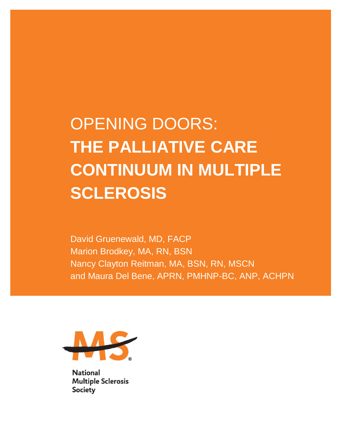# OPENING DOORS: **THE PALLIATIVE CARE CONTINUUM IN MULTIPLE SCLEROSIS**

David Gruenewald, MD, FACP Marion Brodkey, MA, RN, BSN Nancy Clayton Reitman, MA, BSN, RN, MSCN and Maura Del Bene, APRN, PMHNP-BC, ANP, ACHPN



**National Multiple Sclerosis** Society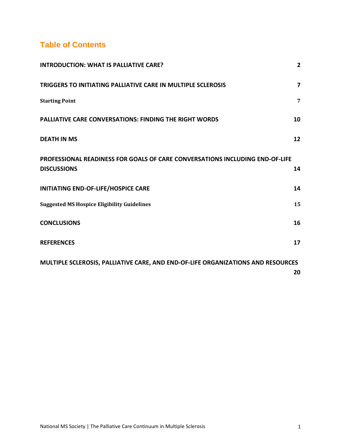# **Table of Contents**

<span id="page-1-0"></span>

| <b>INTRODUCTION: WHAT IS PALLIATIVE CARE?</b>                                                      | $\overline{2}$ |
|----------------------------------------------------------------------------------------------------|----------------|
| TRIGGERS TO INITIATING PALLIATIVE CARE IN MULTIPLE SCLEROSIS                                       | 7              |
| <b>Starting Point</b>                                                                              | 7              |
| <b>PALLIATIVE CARE CONVERSATIONS: FINDING THE RIGHT WORDS</b>                                      | 10             |
| <b>DEATH IN MS</b>                                                                                 | 12             |
| PROFESSIONAL READINESS FOR GOALS OF CARE CONVERSATIONS INCLUDING END-OF-LIFE<br><b>DISCUSSIONS</b> | 14             |
| INITIATING END-OF-LIFE/HOSPICE CARE                                                                | 14             |
| <b>Suggested MS Hospice Eligibility Guidelines</b>                                                 | 15             |
| <b>CONCLUSIONS</b>                                                                                 | 16             |
| <b>REFERENCES</b>                                                                                  | 17             |
| MULTIPLE SCLEROSIS, PALLIATIVE CARE, AND END-OF-LIFE ORGANIZATIONS AND RESOURCES                   | 20             |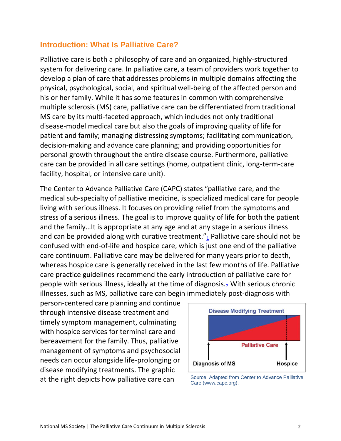#### **Introduction: What Is Palliative Care?**

Palliative care is both a philosophy of care and an organized, highly-structured system for delivering care. In palliative care, a team of providers work together to develop a plan of care that addresses problems in multiple domains affecting the physical, psychological, social, and spiritual well-being of the affected person and his or her family. While it has some features in common with comprehensive multiple sclerosis (MS) care, palliative care can be differentiated from traditional MS care by its multi-faceted approach, which includes not only traditional disease-model medical care but also the goals of improving quality of life for patient and family; managing distressing symptoms; facilitating communication, decision-making and advance care planning; and providing opportunities for personal growth throughout the entire disease course. Furthermore, palliative care can be provided in all care settings (home, outpatient clinic, long-term-care facility, hospital, or intensive care unit).

The Center to Advance Palliative Care (CAPC) states "palliative care, and the medical sub-specialty of palliative medicine, is specialized medical care for people living with serious illness. It focuses on providing relief from the symptoms and stress of a serious illness. The goal is to improve quality of life for both the patient and the family…It is appropriate at any age and at any stage in a serious illness and can be provided along with curative treatment. $n_1$  $n_1$  Palliative care should not be confused with end-of-life and hospice care, which is just one end of the palliative care continuum. Palliative care may be delivered for many years prior to death, whereas hospice care is generally received in the last few months of life. Palliative care practice guidelines recommend the early introduction of palliative care for people with serious illness, ideally at the time of diagnosis. $<sub>2</sub>$  $<sub>2</sub>$  $<sub>2</sub>$  With serious chronic</sub> illnesses, such as MS, palliative care can begin immediately post-diagnosis with

person-centered care planning and continue through intensive disease treatment and timely symptom management, culminating with hospice services for terminal care and bereavement for the family. Thus, palliative management of symptoms and psychosocial needs can occur alongside life-prolonging or disease modifying treatments. The graphic at the right depicts how palliative care can<br>Case (in the case of Center to Advance Palliative



Care (www.capc.org).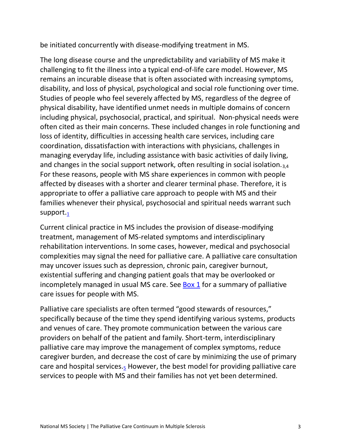be initiated concurrently with disease-modifying treatment in MS.

The long disease course and the unpredictability and variability of MS make it challenging to fit the illness into a typical end-of-life care model. However, MS remains an incurable disease that is often associated with increasing symptoms, disability, and loss of physical, psychological and social role functioning over time. Studies of people who feel severely affected by MS, regardless of the degree of physical disability, have identified unmet needs in multiple domains of concern including physical, psychosocial, practical, and spiritual. Non-physical needs were often cited as their main concerns. These included changes in role functioning and loss of identity, difficulties in accessing health care services, including care coordination, dissatisfaction with interactions with physicians, challenges in managing everyday life, including assistance with basic activities of daily living, and changes in the social support network, often resulting in social isolation. $_{3,4}$ For these reasons, people with MS share experiences in common with people affected by diseases with a shorter and clearer terminal phase. Therefore, it is appropriate to offer a palliative care approach to people with MS and their families whenever their physical, psychosocial and spiritual needs warrant such support. $<sub>1</sub>$  $<sub>1</sub>$  $<sub>1</sub>$ </sub>

Current clinical practice in MS includes the provision of disease-modifying treatment, management of MS-related symptoms and interdisciplinary rehabilitation interventions. In some cases, however, medical and psychosocial complexities may signal the need for palliative care. A palliative care consultation may uncover issues such as depression, chronic pain, caregiver burnout, existential suffering and changing patient goals that may be overlooked or incompletely managed in usual MS care. See [Box 1](#page-5-0) for a summary of palliative care issues for people with MS.

Palliative care specialists are often termed "good stewards of resources," specifically because of the time they spend identifying various systems, products and venues of care. They promote communication between the various care providers on behalf of the patient and family. Short-term, interdisciplinary palliative care may improve the management of complex symptoms, reduce caregiver burden, and decrease the cost of care by minimizing the use of primary care and hospital services. $_5$  $_5$  However, the best model for providing palliative care services to people with MS and their families has not yet been determined.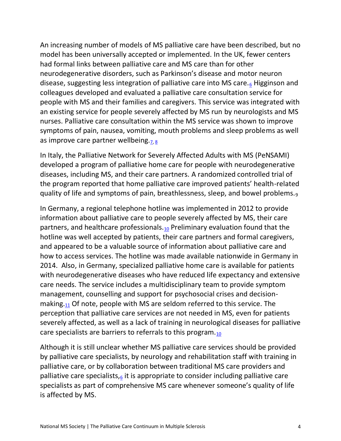An increasing number of models of MS palliative care have been described, but no model has been universally accepted or implemented. In the UK, fewer centers had formal links between palliative care and MS care than for other neurodegenerative disorders, such as Parkinson's disease and motor neuron disease, suggesting less integration of palliative care into MS care. $_6$  $_6$  Higginson and colleagues developed and evaluated a palliative care consultation service for people with MS and their families and caregivers. This service was integrated with an existing service for people severely affected by MS run by neurologists and MS nurses. Palliative care consultation within the MS service was shown to improve symptoms of pain, nausea, vomiting, mouth problems and sleep problems as well as improve care partner wellbeing. $7.8$ 

In Italy, the Palliative Network for Severely Affected Adults with MS (PeNSAMI) developed a program of palliative home care for people with neurodegenerative diseases, including MS, and their care partners. A randomized controlled trial of the program reported that home palliative care improved patients' health-related quality of life and symptoms of pain, breathlessness, sleep, and bowel problems.<sup>9</sup>

In Germany, a regional telephone hotline was implemented in 2012 to provide information about palliative care to people severely affected by MS, their care partners, and healthcare professionals.<sub>[10](#page-17-7)</sub> Preliminary evaluation found that the hotline was well accepted by patients, their care partners and formal caregivers, and appeared to be a valuable source of information about palliative care and how to access services. The hotline was made available nationwide in Germany in 2014. Also, in Germany, specialized palliative home care is available for patients with neurodegenerative diseases who have reduced life expectancy and extensive care needs. The service includes a multidisciplinary team to provide symptom management, counselling and support for psychosocial crises and decisionmaking. $11$  Of note, people with MS are seldom referred to this service. The perception that palliative care services are not needed in MS, even for patients severely affected, as well as a lack of training in neurological diseases for palliative care specialists are barriers to referrals to this program. $10$ 

Although it is still unclear whether MS palliative care services should be provided by palliative care specialists, by neurology and rehabilitation staff with training in palliative care, or by collaboration between traditional MS care providers and palliative care specialists, $6$  it is appropriate to consider including palliative care specialists as part of comprehensive MS care whenever someone's quality of life is affected by MS.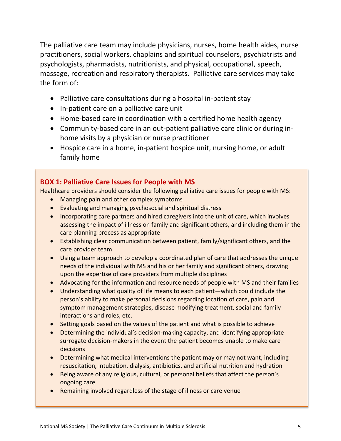The palliative care team may include physicians, nurses, home health aides, nurse practitioners, social workers, chaplains and spiritual counselors, psychiatrists and psychologists, pharmacists, nutritionists, and physical, occupational, speech, massage, recreation and respiratory therapists. Palliative care services may take the form of:

- Palliative care consultations during a hospital in-patient stay
- In-patient care on a palliative care unit
- Home-based care in coordination with a certified home health agency
- Community-based care in an out-patient palliative care clinic or during inhome visits by a physician or nurse practitioner
- Hospice care in a home, in-patient hospice unit, nursing home, or adult family home

#### <span id="page-5-0"></span>**BOX 1: Palliative Care Issues for People with MS**

Healthcare providers should consider the following palliative care issues for people with MS:

- Managing pain and other complex symptoms
- Evaluating and managing psychosocial and spiritual distress
- Incorporating care partners and hired caregivers into the unit of care, which involves assessing the impact of illness on family and significant others, and including them in the care planning process as appropriate
- Establishing clear communication between patient, family/significant others, and the care provider team
- Using a team approach to develop a coordinated plan of care that addresses the unique needs of the individual with MS and his or her family and significant others, drawing upon the expertise of care providers from multiple disciplines
- Advocating for the information and resource needs of people with MS and their families
- Understanding what quality of life means to each patient—which could include the person's ability to make personal decisions regarding location of care, pain and symptom management strategies, disease modifying treatment, social and family interactions and roles, etc.
- Setting goals based on the values of the patient and what is possible to achieve
- Determining the individual's decision-making capacity, and identifying appropriate surrogate decision-makers in the event the patient becomes unable to make care decisions
- Determining what medical interventions the patient may or may not want, including resuscitation, intubation, dialysis, antibiotics, and artificial nutrition and hydration
- Being aware of any religious, cultural, or personal beliefs that affect the person's ongoing care
- Remaining involved regardless of the stage of illness or care venue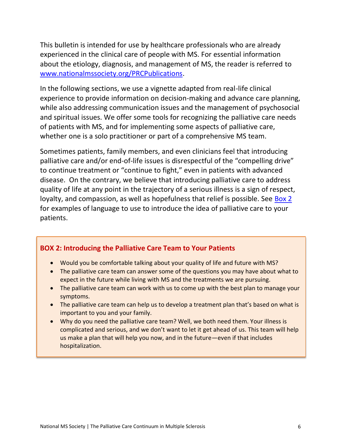This bulletin is intended for use by healthcare professionals who are already experienced in the clinical care of people with MS. For essential information about the etiology, diagnosis, and management of MS, the reader is referred to [www.nationalmssociety.org/PRCPublications.](http://www.nationalmssociety.org/PRCPublications)

In the following sections, we use a vignette adapted from real-life clinical experience to provide information on decision-making and advance care planning, while also addressing communication issues and the management of psychosocial and spiritual issues. We offer some tools for recognizing the palliative care needs of patients with MS, and for implementing some aspects of palliative care, whether one is a solo practitioner or part of a comprehensive MS team.

Sometimes patients, family members, and even clinicians feel that introducing palliative care and/or end-of-life issues is disrespectful of the "compelling drive" to continue treatment or "continue to fight," even in patients with advanced disease. On the contrary, we believe that introducing palliative care to address quality of life at any point in the trajectory of a serious illness is a sign of respect, loyalty, and compassion, as well as hopefulness that relief is possible. See [Box 2](#page-6-0) for examples of language to use to introduce the idea of palliative care to your patients.

#### <span id="page-6-0"></span>**BOX 2: Introducing the Palliative Care Team to Your Patients**

- Would you be comfortable talking about your quality of life and future with MS?
- The palliative care team can answer some of the questions you may have about what to expect in the future while living with MS and the treatments we are pursuing.
- The palliative care team can work with us to come up with the best plan to manage your symptoms.
- The palliative care team can help us to develop a treatment plan that's based on what is important to you and your family.
- Why do you need the palliative care team? Well, we both need them. Your illness is complicated and serious, and we don't want to let it get ahead of us. This team will help us make a plan that will help you now, and in the future—even if that includes hospitalization.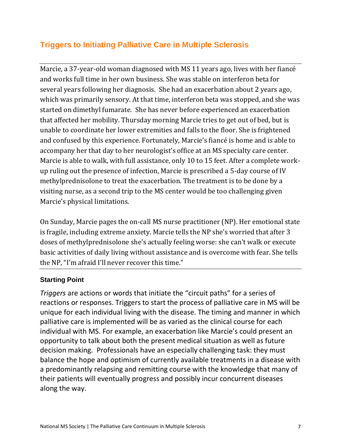## <span id="page-7-0"></span>**Triggers to Initiating Palliative Care in Multiple Sclerosis**

Marcie, a 37-year-old woman diagnosed with MS 11 years ago, lives with her fiancé and works full time in her own business. She was stable on interferon beta for several years following her diagnosis. She had an exacerbation about 2 years ago, which was primarily sensory. At that time, interferon beta was stopped, and she was started on dimethyl fumarate. She has never before experienced an exacerbation that affected her mobility. Thursday morning Marcie tries to get out of bed, but is unable to coordinate her lower extremities and falls to the floor. She is frightened and confused by this experience. Fortunately, Marcie's fiancé is home and is able to accompany her that day to her neurologist's office at an MS specialty care center. Marcie is able to walk, with full assistance, only 10 to 15 feet. After a complete workup ruling out the presence of infection, Marcie is prescribed a 5-day course of IV methylprednisolone to treat the exacerbation. The treatment is to be done by a visiting nurse, as a second trip to the MS center would be too challenging given Marcie's physical limitations.

On Sunday, Marcie pages the on-call MS nurse practitioner (NP). Her emotional state is fragile, including extreme anxiety. Marcie tells the NP she's worried that after 3 doses of methylprednisolone she's actually feeling worse: she can't walk or execute basic activities of daily living without assistance and is overcome with fear. She tells the NP, "I'm afraid I'll never recover this time."

#### <span id="page-7-1"></span>**Starting Point**

*Triggers* are actions or words that initiate the "circuit paths" for a series of reactions or responses. Triggers to start the process of palliative care in MS will be unique for each individual living with the disease. The timing and manner in which palliative care is implemented will be as varied as the clinical course for each individual with MS. For example, an exacerbation like Marcie's could present an opportunity to talk about both the present medical situation as well as future decision making. Professionals have an especially challenging task: they must balance the hope and optimism of currently available treatments in a disease with a predominantly relapsing and remitting course with the knowledge that many of their patients will eventually progress and possibly incur concurrent diseases along the way.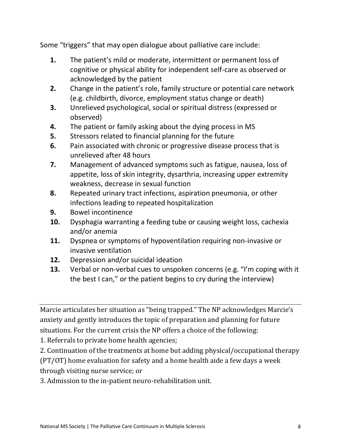Some "triggers" that may open dialogue about palliative care include:

- **1.** The patient's mild or moderate, intermittent or permanent loss of cognitive or physical ability for independent self-care as observed or acknowledged by the patient
- **2.** Change in the patient's role, family structure or potential care network (e.g. childbirth, divorce, employment status change or death)
- **3.** Unrelieved psychological, social or spiritual distress (expressed or observed)
- **4.** The patient or family asking about the dying process in MS
- **5.** Stressors related to financial planning for the future
- **6.** Pain associated with chronic or progressive disease process that is unrelieved after 48 hours
- **7.** Management of advanced symptoms such as fatigue, nausea, loss of appetite, loss of skin integrity, dysarthria, increasing upper extremity weakness, decrease in sexual function
- **8.** Repeated urinary tract infections, aspiration pneumonia, or other infections leading to repeated hospitalization
- **9.** Bowel incontinence
- **10.** Dysphagia warranting a feeding tube or causing weight loss, cachexia and/or anemia
- **11.** Dyspnea or symptoms of hypoventilation requiring non-invasive or invasive ventilation
- **12.** Depression and/or suicidal ideation
- **13.** Verbal or non-verbal cues to unspoken concerns (e.g. "I'm coping with it the best I can," or the patient begins to cry during the interview)

Marcie articulates her situation as "being trapped." The NP acknowledges Marcie's anxiety and gently introduces the topic of preparation and planning for future situations. For the current crisis the NP offers a choice of the following:

1. Referrals to private home health agencies;

2. Continuation of the treatments at home but adding physical/occupational therapy (PT/OT) home evaluation for safety and a home health aide a few days a week through visiting nurse service; or

3. Admission to the in-patient neuro-rehabilitation unit.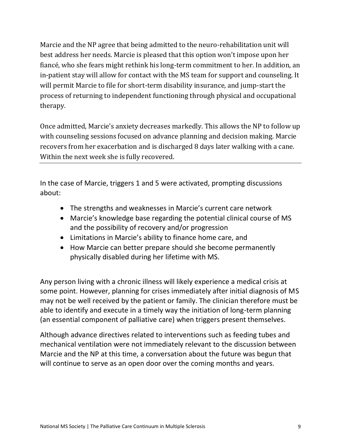Marcie and the NP agree that being admitted to the neuro-rehabilitation unit will best address her needs. Marcie is pleased that this option won't impose upon her fiancé, who she fears might rethink his long-term commitment to her. In addition, an in-patient stay will allow for contact with the MS team for support and counseling. It will permit Marcie to file for short-term disability insurance, and jump-start the process of returning to independent functioning through physical and occupational therapy.

Once admitted, Marcie's anxiety decreases markedly. This allows the NP to follow up with counseling sessions focused on advance planning and decision making. Marcie recovers from her exacerbation and is discharged 8 days later walking with a cane. Within the next week she is fully recovered.

In the case of Marcie, triggers 1 and 5 were activated, prompting discussions about:

- The strengths and weaknesses in Marcie's current care network
- Marcie's knowledge base regarding the potential clinical course of MS and the possibility of recovery and/or progression
- Limitations in Marcie's ability to finance home care, and
- How Marcie can better prepare should she become permanently physically disabled during her lifetime with MS.

Any person living with a chronic illness will likely experience a medical crisis at some point. However, planning for crises immediately after initial diagnosis of MS may not be well received by the patient or family. The clinician therefore must be able to identify and execute in a timely way the initiation of long-term planning (an essential component of palliative care) when triggers present themselves.

Although advance directives related to interventions such as feeding tubes and mechanical ventilation were not immediately relevant to the discussion between Marcie and the NP at this time, a conversation about the future was begun that will continue to serve as an open door over the coming months and years.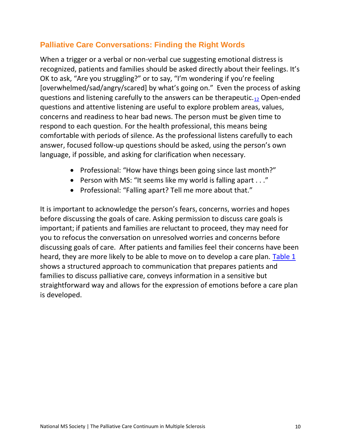## <span id="page-10-0"></span>**Palliative Care Conversations: Finding the Right Words**

When a trigger or a verbal or non-verbal cue suggesting emotional distress is recognized, patients and families should be asked directly about their feelings. It's OK to ask, "Are you struggling?" or to say, "I'm wondering if you're feeling [overwhelmed/sad/angry/scared] by what's going on." Even the process of asking questions and listening carefully to the answers can be therapeutic.<sub>[12](#page-18-1)</sub> Open-ended questions and attentive listening are useful to explore problem areas, values, concerns and readiness to hear bad news. The person must be given time to respond to each question. For the health professional, this means being comfortable with periods of silence. As the professional listens carefully to each answer, focused follow-up questions should be asked, using the person's own language, if possible, and asking for clarification when necessary.

- Professional: "How have things been going since last month?"
- Person with MS: "It seems like my world is falling apart . . ."
- Professional: "Falling apart? Tell me more about that."

It is important to acknowledge the person's fears, concerns, worries and hopes before discussing the goals of care. Asking permission to discuss care goals is important; if patients and families are reluctant to proceed, they may need for you to refocus the conversation on unresolved worries and concerns before discussing goals of care. After patients and families feel their concerns have been heard, they are more likely to be able to move on to develop a care plan. [Table 1](#page-11-0) shows a structured approach to communication that prepares patients and families to discuss palliative care, conveys information in a sensitive but straightforward way and allows for the expression of emotions before a care plan is developed.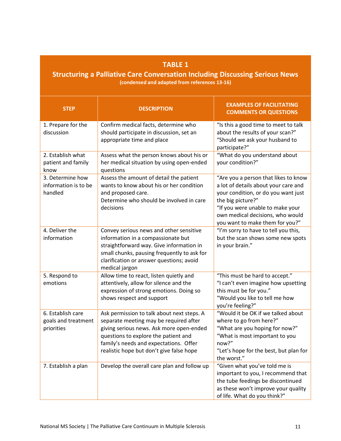#### **TABLE 1**

#### <span id="page-11-0"></span>**Structuring a Palliative Care Conversation Including Discussing Serious News (condensed and adapted from references 13-16)**

| <b>STEP</b>                                            | <b>DESCRIPTION</b>                                                                                                                                                                                                                                             | <b>EXAMPLES OF FACILITATING</b><br><b>COMMENTS OR QUESTIONS</b>                                                                                                                                                                                     |
|--------------------------------------------------------|----------------------------------------------------------------------------------------------------------------------------------------------------------------------------------------------------------------------------------------------------------------|-----------------------------------------------------------------------------------------------------------------------------------------------------------------------------------------------------------------------------------------------------|
| 1. Prepare for the<br>discussion                       | Confirm medical facts, determine who<br>should participate in discussion, set an<br>appropriate time and place                                                                                                                                                 | "Is this a good time to meet to talk<br>about the results of your scan?"<br>"Should we ask your husband to<br>participate?"                                                                                                                         |
| 2. Establish what<br>patient and family<br>know        | Assess what the person knows about his or<br>her medical situation by using open-ended<br>questions                                                                                                                                                            | "What do you understand about<br>your condition?"                                                                                                                                                                                                   |
| 3. Determine how<br>information is to be<br>handled    | Assess the amount of detail the patient<br>wants to know about his or her condition<br>and proposed care.<br>Determine who should be involved in care<br>decisions                                                                                             | "Are you a person that likes to know<br>a lot of details about your care and<br>your condition, or do you want just<br>the big picture?"<br>"If you were unable to make your<br>own medical decisions, who would<br>you want to make them for you?" |
| 4. Deliver the<br>information                          | Convey serious news and other sensitive<br>information in a compassionate but<br>straightforward way. Give information in<br>small chunks, pausing frequently to ask for<br>clarification or answer questions; avoid<br>medical jargon                         | "I'm sorry to have to tell you this,<br>but the scan shows some new spots<br>in your brain."                                                                                                                                                        |
| 5. Respond to<br>emotions                              | Allow time to react, listen quietly and<br>attentively, allow for silence and the<br>expression of strong emotions. Doing so<br>shows respect and support                                                                                                      | "This must be hard to accept."<br>"I can't even imagine how upsetting<br>this must be for you."<br>"Would you like to tell me how<br>you're feeling?"                                                                                               |
| 6. Establish care<br>goals and treatment<br>priorities | Ask permission to talk about next steps. A<br>separate meeting may be required after<br>giving serious news. Ask more open-ended<br>questions to explore the patient and<br>family's needs and expectations. Offer<br>realistic hope but don't give false hope | "Would it be OK if we talked about<br>where to go from here?"<br>"What are you hoping for now?"<br>"What is most important to you<br>now?"<br>"Let's hope for the best, but plan for<br>the worst."                                                 |
| 7. Establish a plan                                    | Develop the overall care plan and follow up                                                                                                                                                                                                                    | "Given what you've told me is<br>important to you, I recommend that<br>the tube feedings be discontinued<br>as these won't improve your quality<br>of life. What do you think?"                                                                     |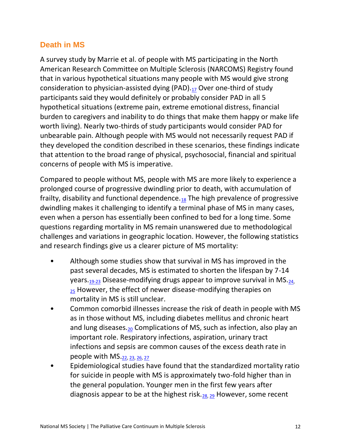## <span id="page-12-0"></span>**Death in MS**

A survey study by Marrie et al. of people with MS participating in the North American Research Committee on Multiple Sclerosis (NARCOMS) Registry found that in various hypothetical situations many people with MS would give strong consideration to physician-assisted dying  $(PAD)_{.17}$  $(PAD)_{.17}$  $(PAD)_{.17}$  Over one-third of study participants said they would definitely or probably consider PAD in all 5 hypothetical situations (extreme pain, extreme emotional distress, financial burden to caregivers and inability to do things that make them happy or make life worth living). Nearly two-thirds of study participants would consider PAD for unbearable pain. Although people with MS would not necessarily request PAD if they developed the condition described in these scenarios, these findings indicate that attention to the broad range of physical, psychosocial, financial and spiritual concerns of people with MS is imperative.

Compared to people without MS, people with MS are more likely to experience a prolonged course of progressive dwindling prior to death, with accumulation of frailty, disability and functional dependence. $18$  The high prevalence of progressive dwindling makes it challenging to identify a terminal phase of MS in many cases, even when a person has essentially been confined to bed for a long time. Some questions regarding mortality in MS remain unanswered due to methodological challenges and variations in geographic location. However, the following statistics and research findings give us a clearer picture of MS mortality:

- Although some studies show that survival in MS has improved in the past several decades, MS is estimated to shorten the lifespan by 7-14 years.<sub>[19-23](#page-18-4)</sub> Disease-modifying drugs appear to improve survival in MS.<sub>[24,](#page-19-0)</sub>  $25$  However, the effect of newer disease-modifying therapies on mortality in MS is still unclear.
- Common comorbid illnesses increase the risk of death in people with MS as in those without MS, including diabetes mellitus and chronic heart and lung diseases.<sub>[20](#page-18-5)</sub> Complications of MS, such as infection, also play an important role. Respiratory infections, aspiration, urinary tract infections and sepsis are common causes of the excess death rate in people with MS.[22,](#page-18-6) [23,](#page-18-7) [26,](#page-19-2) [27](#page-19-3)
- Epidemiological studies have found that the standardized mortality ratio for suicide in people with MS is approximately two-fold higher than in the general population. Younger men in the first few years after diagnosis appear to be at the highest risk. $_{28, 29}$  $_{28, 29}$  $_{28, 29}$  $_{28, 29}$  However, some recent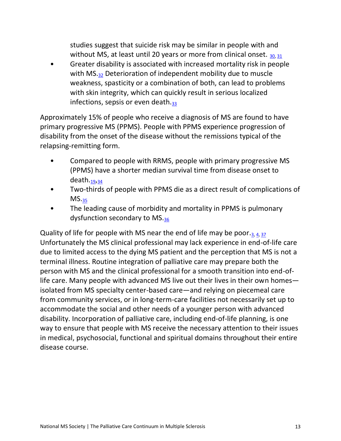studies suggest that suicide risk may be similar in people with and without MS, at least until 20 years or more from clinical onset.  $_{30,31}$  $_{30,31}$  $_{30,31}$ 

• Greater disability is associated with increased mortality risk in people with MS.<sub>[32](#page-19-8)</sub> Deterioration of independent mobility due to muscle weakness, spasticity or a combination of both, can lead to problems with skin integrity, which can quickly result in serious localized infections, sepsis or even death. $33$ 

Approximately 15% of people who receive a diagnosis of MS are found to have primary progressive MS (PPMS). People with PPMS experience progression of disability from the onset of the disease without the remissions typical of the relapsing-remitting form.

- Compared to people with RRMS, people with primary progressive MS (PPMS) have a shorter median survival time from disease onset to death. $19,34$  $19,34$
- Two-thirds of people with PPMS die as a direct result of complications of  $MS.35$  $MS.35$
- The leading cause of morbidity and mortality in PPMS is pulmonary dysfunction secondary to MS.[36](#page-20-1)

Quality of life for people with MS near the end of life may be poor. $_3$ ,  $_4$ ,  $_37$ Unfortunately the MS clinical professional may lack experience in end-of-life care due to limited access to the dying MS patient and the perception that MS is not a terminal illness. Routine integration of palliative care may prepare both the person with MS and the clinical professional for a smooth transition into end-oflife care. Many people with advanced MS live out their lives in their own homes isolated from MS specialty center-based care—and relying on piecemeal care from community services, or in long-term-care facilities not necessarily set up to accommodate the social and other needs of a younger person with advanced disability. Incorporation of palliative care, including end-of-life planning, is one way to ensure that people with MS receive the necessary attention to their issues in medical, psychosocial, functional and spiritual domains throughout their entire disease course.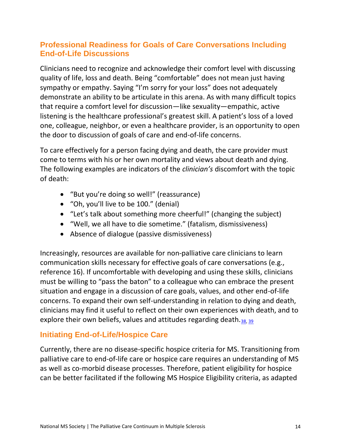## <span id="page-14-0"></span>**Professional Readiness for Goals of Care Conversations Including End-of-Life Discussions**

Clinicians need to recognize and acknowledge their comfort level with discussing quality of life, loss and death. Being "comfortable" does not mean just having sympathy or empathy. Saying "I'm sorry for your loss" does not adequately demonstrate an ability to be articulate in this arena. As with many difficult topics that require a comfort level for discussion—like sexuality—empathic, active listening is the healthcare professional's greatest skill. A patient's loss of a loved one, colleague, neighbor, or even a healthcare provider, is an opportunity to open the door to discussion of goals of care and end-of-life concerns.

To care effectively for a person facing dying and death, the care provider must come to terms with his or her own mortality and views about death and dying. The following examples are indicators of the *clinician's* discomfort with the topic of death:

- "But you're doing so well!" (reassurance)
- "Oh, you'll live to be 100." (denial)
- "Let's talk about something more cheerful!" (changing the subject)
- "Well, we all have to die sometime." (fatalism, dismissiveness)
- Absence of dialogue (passive dismissiveness)

Increasingly, resources are available for non-palliative care clinicians to learn communication skills necessary for effective goals of care conversations (e.g., reference 16). If uncomfortable with developing and using these skills, clinicians must be willing to "pass the baton" to a colleague who can embrace the present situation and engage in a discussion of care goals, values, and other end-of-life concerns. To expand their own self-understanding in relation to dying and death, clinicians may find it useful to reflect on their own experiences with death, and to explore their own beliefs, values and attitudes regarding death.[38,](#page-20-3) [39](#page-20-4)

## <span id="page-14-1"></span>**Initiating End-of-Life/Hospice Care**

Currently, there are no disease-specific hospice criteria for MS. Transitioning from palliative care to end-of-life care or hospice care requires an understanding of MS as well as co-morbid disease processes. Therefore, patient eligibility for hospice can be better facilitated if the following MS Hospice Eligibility criteria, as adapted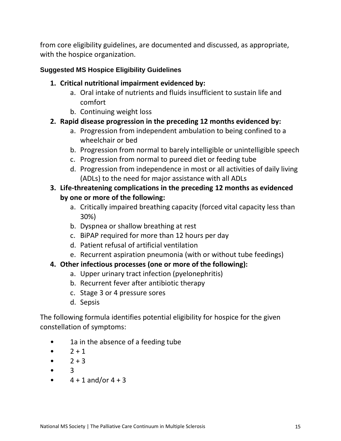from core eligibility guidelines, are documented and discussed, as appropriate, with the hospice organization.

#### <span id="page-15-0"></span>**Suggested MS Hospice Eligibility Guidelines**

- **1. Critical nutritional impairment evidenced by:**
	- a. Oral intake of nutrients and fluids insufficient to sustain life and comfort
	- b. Continuing weight loss

#### **2. Rapid disease progression in the preceding 12 months evidenced by:**

- a. Progression from independent ambulation to being confined to a wheelchair or bed
- b. Progression from normal to barely intelligible or unintelligible speech
- c. Progression from normal to pureed diet or feeding tube
- d. Progression from independence in most or all activities of daily living (ADLs) to the need for major assistance with all ADLs

## **3. Life-threatening complications in the preceding 12 months as evidenced by one or more of the following:**

- a. Critically impaired breathing capacity (forced vital capacity less than 30%)
- b. Dyspnea or shallow breathing at rest
- c. BiPAP required for more than 12 hours per day
- d. Patient refusal of artificial ventilation
- e. Recurrent aspiration pneumonia (with or without tube feedings)

### **4. Other infectious processes (one or more of the following):**

- a. Upper urinary tract infection (pyelonephritis)
- b. Recurrent fever after antibiotic therapy
- c. Stage 3 or 4 pressure sores
- d. Sepsis

The following formula identifies potential eligibility for hospice for the given constellation of symptoms:

- 1a in the absence of a feeding tube
- $2 + 1$
- $2 + 3$
- 3
- $4 + 1$  and/or  $4 + 3$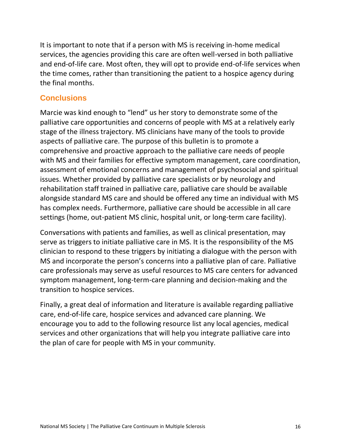It is important to note that if a person with MS is receiving in-home medical services, the agencies providing this care are often well-versed in both palliative and end-of-life care. Most often, they will opt to provide end-of-life services when the time comes, rather than transitioning the patient to a hospice agency during the final months.

#### <span id="page-16-0"></span>**Conclusions**

Marcie was kind enough to "lend" us her story to demonstrate some of the palliative care opportunities and concerns of people with MS at a relatively early stage of the illness trajectory. MS clinicians have many of the tools to provide aspects of palliative care. The purpose of this bulletin is to promote a comprehensive and proactive approach to the palliative care needs of people with MS and their families for effective symptom management, care coordination, assessment of emotional concerns and management of psychosocial and spiritual issues. Whether provided by palliative care specialists or by neurology and rehabilitation staff trained in palliative care, palliative care should be available alongside standard MS care and should be offered any time an individual with MS has complex needs. Furthermore, palliative care should be accessible in all care settings (home, out-patient MS clinic, hospital unit, or long-term care facility).

Conversations with patients and families, as well as clinical presentation, may serve as triggers to initiate palliative care in MS. It is the responsibility of the MS clinician to respond to these triggers by initiating a dialogue with the person with MS and incorporate the person's concerns into a palliative plan of care. Palliative care professionals may serve as useful resources to MS care centers for advanced symptom management, long-term-care planning and decision-making and the transition to hospice services.

Finally, a great deal of information and literature is available regarding palliative care, end-of-life care, hospice services and advanced care planning. We encourage you to add to the following resource list any local agencies, medical services and other organizations that will help you integrate palliative care into the plan of care for people with MS in your community.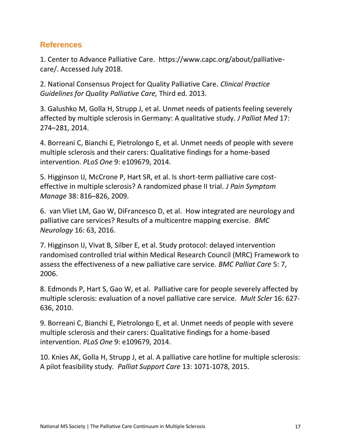## <span id="page-17-0"></span>**References**

<span id="page-17-1"></span>1. Center to Advance Palliative Care. https://www.capc.org/about/palliativecare/. Accessed July 2018.

<span id="page-17-2"></span>2. National Consensus Project for Quality Palliative Care. *Clinical Practice Guidelines for Quality Palliative Care,* Third ed. 2013.

<span id="page-17-8"></span>3. Galushko M, Golla H, Strupp J, et al. Unmet needs of patients feeling severely affected by multiple sclerosis in Germany: A qualitative study. *J Palliat Med* 17: 274–281, 2014.

<span id="page-17-9"></span>4. Borreani C, Bianchi E, Pietrolongo E, et al. Unmet needs of people with severe multiple sclerosis and their carers: Qualitative findings for a home-based intervention. *PLoS One* 9: e109679, 2014.

<span id="page-17-3"></span>5. Higginson IJ, McCrone P, Hart SR, et al. Is short-term palliative care costeffective in multiple sclerosis? A randomized phase II trial. *J Pain Symptom Manage* 38: 816–826, 2009.

<span id="page-17-4"></span>6. van Vliet LM, Gao W, DiFrancesco D, et al. How integrated are neurology and palliative care services? Results of a multicentre mapping exercise. *BMC Neurology* 16: 63, 2016.

<span id="page-17-5"></span>7. Higginson IJ, Vivat B, Silber E, et al. Study protocol: delayed intervention randomised controlled trial within Medical Research Council (MRC) Framework to assess the effectiveness of a new palliative care service. *BMC Palliat Care* 5: 7, 2006.

<span id="page-17-6"></span>8. Edmonds P, Hart S, Gao W, et al. Palliative care for people severely affected by multiple sclerosis: evaluation of a novel palliative care service. *Mult Scler* 16: 627- 636, 2010.

9. Borreani C, Bianchi E, Pietrolongo E, et al. Unmet needs of people with severe multiple sclerosis and their carers: Qualitative findings for a home-based intervention. *PLoS One* 9: e109679, 2014.

<span id="page-17-7"></span>10. Knies AK, Golla H, Strupp J, et al. A palliative care hotline for multiple sclerosis: A pilot feasibility study. *Palliat Support Care* 13: 1071-1078, 2015.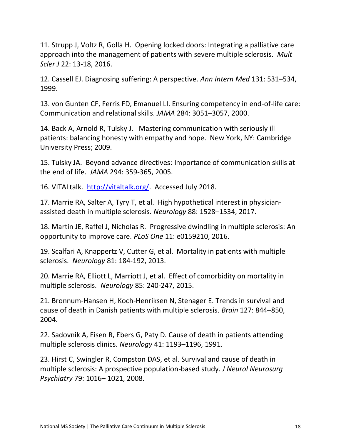<span id="page-18-0"></span>11. Strupp J, Voltz R, Golla H. Opening locked doors: Integrating a palliative care approach into the management of patients with severe multiple sclerosis. *Mult Scler J* 22: 13-18, 2016.

<span id="page-18-1"></span>12. Cassell EJ. Diagnosing suffering: A perspective. *Ann Intern Med* 131: 531–534, 1999.

13. von Gunten CF, Ferris FD, Emanuel LI. Ensuring competency in end-of-life care: Communication and relational skills. *JAMA* 284: 3051–3057, 2000.

14. Back A, Arnold R, Tulsky J. Mastering communication with seriously ill patients: balancing honesty with empathy and hope. New York, NY: Cambridge University Press; 2009.

15. Tulsky JA. Beyond advance directives: Importance of communication skills at the end of life. *JAMA* 294: 359-365, 2005.

16. VITALtalk. [http://vitaltalk.org/.](http://vitaltalk.org/) Accessed July 2018.

<span id="page-18-2"></span>17. Marrie RA, Salter A, Tyry T, et al. High hypothetical interest in physicianassisted death in multiple sclerosis. *Neurology* 88: 1528–1534, 2017.

<span id="page-18-3"></span>18. Martin JE, Raffel J, Nicholas R. Progressive dwindling in multiple sclerosis: An opportunity to improve care. *PLoS One* 11: e0159210, 2016.

<span id="page-18-4"></span>19. Scalfari A, Knappertz V, Cutter G, et al. Mortality in patients with multiple sclerosis. *Neurology* 81: 184-192, 2013.

<span id="page-18-5"></span>20. Marrie RA, Elliott L, Marriott J, et al. Effect of comorbidity on mortality in multiple sclerosis. *Neurology* 85: 240-247, 2015.

21. Bronnum-Hansen H, Koch-Henriksen N, Stenager E. Trends in survival and cause of death in Danish patients with multiple sclerosis. *Brain* 127: 844–850, 2004.

<span id="page-18-6"></span>22. Sadovnik A, Eisen R, Ebers G, Paty D. Cause of death in patients attending multiple sclerosis clinics. *Neurology* 41: 1193–1196, 1991.

<span id="page-18-7"></span>23. Hirst C, Swingler R, Compston DAS, et al. Survival and cause of death in multiple sclerosis: A prospective population-based study. *J Neurol Neurosurg Psychiatry* 79: 1016– 1021, 2008.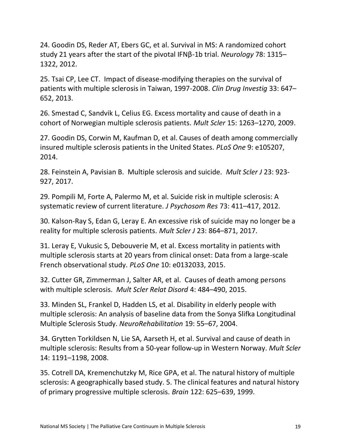<span id="page-19-0"></span>24. Goodin DS, Reder AT, Ebers GC, et al. Survival in MS: A randomized cohort study 21 years after the start of the pivotal IFNβ-1b trial. *Neurology* 78: 1315– 1322, 2012.

<span id="page-19-1"></span>25. Tsai CP, Lee CT. Impact of disease-modifying therapies on the survival of patients with multiple sclerosis in Taiwan, 1997-2008. *Clin Drug Investig* 33: 647– 652, 2013.

<span id="page-19-2"></span>26. Smestad C, Sandvik L, Celius EG. Excess mortality and cause of death in a cohort of Norwegian multiple sclerosis patients. *Mult Scler* 15: 1263–1270, 2009.

<span id="page-19-3"></span>27. Goodin DS, Corwin M, Kaufman D, et al. Causes of death among commercially insured multiple sclerosis patients in the United States. *PLoS One* 9: e105207, 2014.

<span id="page-19-4"></span>28. Feinstein A, Pavisian B. Multiple sclerosis and suicide. *Mult Scler J* 23: 923- 927, 2017.

<span id="page-19-5"></span>29. Pompili M, Forte A, Palermo M, et al. Suicide risk in multiple sclerosis: A systematic review of current literature. *J Psychosom Res* 73: 411–417, 2012.

<span id="page-19-6"></span>30. Kalson-Ray S, Edan G, Leray E. An excessive risk of suicide may no longer be a reality for multiple sclerosis patients. *Mult Scler J* 23: 864–871, 2017.

<span id="page-19-7"></span>31. Leray E, Vukusic S, Debouverie M, et al. Excess mortality in patients with multiple sclerosis starts at 20 years from clinical onset: Data from a large-scale French observational study. *PLoS One* 10: e0132033, 2015.

<span id="page-19-8"></span>32. Cutter GR, Zimmerman J, Salter AR, et al. Causes of death among persons with multiple sclerosis. *Mult Scler Relat Disord* 4: 484–490, 2015.

<span id="page-19-9"></span>33. Minden SL, Frankel D, Hadden LS, et al. Disability in elderly people with multiple sclerosis: An analysis of baseline data from the Sonya Slifka Longitudinal Multiple Sclerosis Study. *NeuroRehabilitation* 19: 55–67, 2004.

<span id="page-19-10"></span>34. Grytten Torkildsen N, Lie SA, Aarseth H, et al. Survival and cause of death in multiple sclerosis: Results from a 50-year follow-up in Western Norway. *Mult Scler*  14: 1191–1198, 2008.

<span id="page-19-11"></span>35. Cotrell DA, Kremenchutzky M, Rice GPA, et al. The natural history of multiple sclerosis: A geographically based study. 5. The clinical features and natural history of primary progressive multiple sclerosis. *Brain* 122: 625–639, 1999.